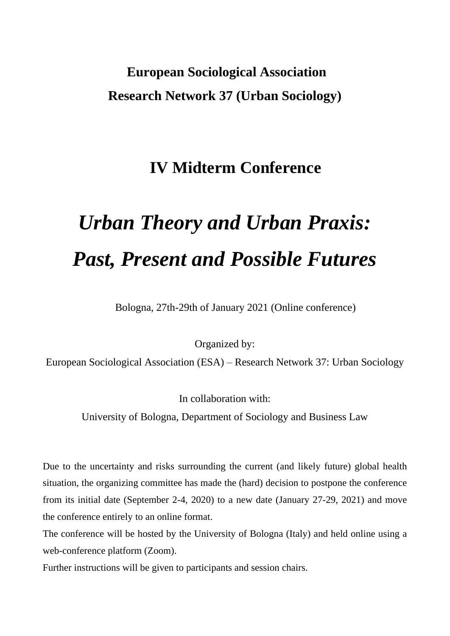## **European Sociological Association Research Network 37 (Urban Sociology)**

### **IV Midterm Conference**

# *Urban Theory and Urban Praxis: Past, Present and Possible Futures*

Bologna, 27th-29th of January 2021 (Online conference)

Organized by:

European Sociological Association (ESA) – Research Network 37: Urban Sociology

In collaboration with:

University of Bologna, Department of Sociology and Business Law

Due to the uncertainty and risks surrounding the current (and likely future) global health situation, the organizing committee has made the (hard) decision to postpone the conference from its initial date (September 2-4, 2020) to a new date (January 27-29, 2021) and move the conference entirely to an online format.

The conference will be hosted by the University of Bologna (Italy) and held online using a web-conference platform (Zoom).

Further instructions will be given to participants and session chairs.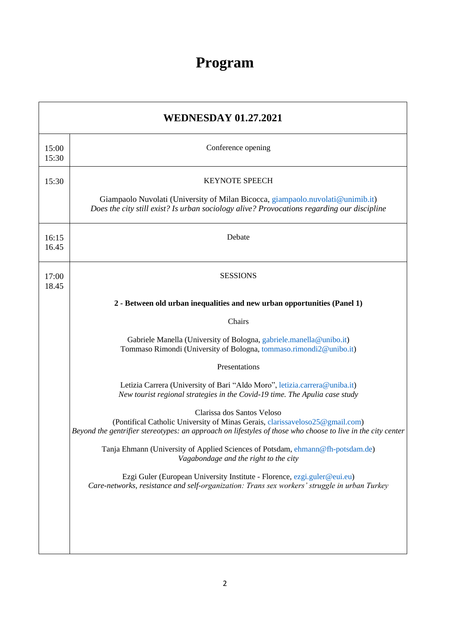## **Program**

| <b>WEDNESDAY 01.27.2021</b> |                                                                                                                                                                                             |  |
|-----------------------------|---------------------------------------------------------------------------------------------------------------------------------------------------------------------------------------------|--|
| 15:00<br>15:30              | Conference opening                                                                                                                                                                          |  |
| 15:30                       | <b>KEYNOTE SPEECH</b>                                                                                                                                                                       |  |
|                             | Giampaolo Nuvolati (University of Milan Bicocca, giampaolo nuvolati@unimib.it)<br>Does the city still exist? Is urban sociology alive? Provocations regarding our discipline                |  |
| 16:15<br>16.45              | Debate                                                                                                                                                                                      |  |
| 17:00<br>18.45              | <b>SESSIONS</b>                                                                                                                                                                             |  |
|                             | 2 - Between old urban inequalities and new urban opportunities (Panel 1)                                                                                                                    |  |
|                             | Chairs                                                                                                                                                                                      |  |
|                             | Gabriele Manella (University of Bologna, gabriele.manella@unibo.it)<br>Tommaso Rimondi (University of Bologna, tommaso.rimondi2@unibo.it)                                                   |  |
|                             | Presentations                                                                                                                                                                               |  |
|                             | Letizia Carrera (University of Bari "Aldo Moro", letizia.carrera@uniba.it)<br>New tourist regional strategies in the Covid-19 time. The Apulia case study                                   |  |
|                             | Clarissa dos Santos Veloso                                                                                                                                                                  |  |
|                             | (Pontifical Catholic University of Minas Gerais, clarissaveloso25@gmail.com)<br>Beyond the gentrifier stereotypes: an approach on lifestyles of those who choose to live in the city center |  |
|                             | Tanja Ehmann (University of Applied Sciences of Potsdam, ehmann@fh-potsdam.de)<br>Vagabondage and the right to the city                                                                     |  |
|                             | Ezgi Guler (European University Institute - Florence, ezgi.guler@eui.eu)<br>Care-networks, resistance and self-organization: Trans sex workers' struggle in urban Turkey                    |  |
|                             |                                                                                                                                                                                             |  |
|                             |                                                                                                                                                                                             |  |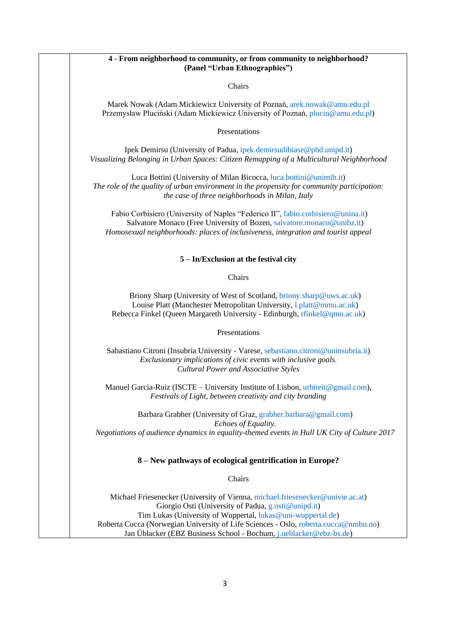#### **4 - From neighborhood to community, or from community to neighborhood? (Panel "Urban Ethnographies")**

Chairs

Marek Nowak (Adam Mickiewicz University of Poznań[, arek.nowak@amu.edu.pl](mailto:arek.nowak@amu.edu.pl) Przemysław Pluciński (Adam Mickiewicz University of Poznań, [plucin@amu.edu.pl\)](mailto:plucin@amu.edu.pl)

Presentations

Ipek Demirsu (University of Padua[, ipek.demirsudibiase@phd.unipd.it\)](mailto:ipek.demirsudibiase@phd.unipd.it) *Visualizing Belonging in Urban Spaces: Citizen Remapping of a Multicultural Neighborhood*

Luca Bottini (University of Milan Bicocca, [luca.bottini@unimib.it\)](mailto:luca.bottini@unimib.it) *The role of the quality of urban environment in the propensity for community participation: the case of three neighborhoods in Milan, Italy*

Fabio Corbisiero (University of Naples "Federico II", [fabio.corbisiero@unina.it\)](mailto:fabio.corbisiero@unina.it) Salvatore Monaco (Free University of Bozen, [salvatore.monaco@unibz.it\)](mailto:salvatore.monaco@unibz.it) *Homosexual neighborhoods: places of inclusiveness, integration and tourist appeal*

#### **5 – In/Exclusion at the festival city**

Chairs

Briony Sharp (University of West of Scotland[, briony.sharp@uws.ac.uk\)](mailto:briony.sharp@uws.ac.uk) Louise Platt (Manchester Metropolitan University, [l.platt@mmu.ac.uk\)](mailto:l.platt@mmu.ac.uk) Rebecca Finkel (Queen Margareth University - Edinburgh, [rfinkel@qmu.ac.uk\)](mailto:rfinkel@qmu.ac.uk)

Presentations

Sabastiano Citroni (Insubria University - Varese, [sebastiano.citroni@uninsubria.it\)](mailto:sebastiano.citroni@uninsubria.it) *Exclusionary implications of civic events with inclusive goals. Cultural Power and Associative Styles*

Manuel Garcia-Ruiz (ISCTE – University Institute of Lisbon, [urbiteit@gmail.com\)](mailto:urbiteit@gmail.com), *Festivals of Light, between creativity and city branding*

Barbara Grabher (University of Graz[, grabher.barbara@gmail.com\)](mailto:grabher.barbara@gmail.com) *Echoes of Equality. Negotiations of audience dynamics in equality-themed events in Hull UK City of Culture 2017*

#### **8 – New pathways of ecological gentrification in Europe?**

Chairs

Michael Friesenecker (University of Vienna, [michael.friesenecker@univie.ac.at\)](mailto:michael.friesenecker@univie.ac.at) Giorgio Osti (University of Padua, [g.osti@unipd.it\)](mailto:g.osti@unipd.it) Tim Lukas (University of Wuppertal, [lukas@uni-wuppertal.de\)](mailto:lukas@uni-wuppertal.de) Roberta Cucca (Norwegian University of Life Sciences - Oslo, [roberta.cucca@nmbu.no\)](mailto:roberta.cucca@nmbu.no) Jan Üblacker (EBZ Business School - Bochum, [j.ueblacker@ebz-bs.de\)](mailto:j.ueblacker@ebz-bs.de)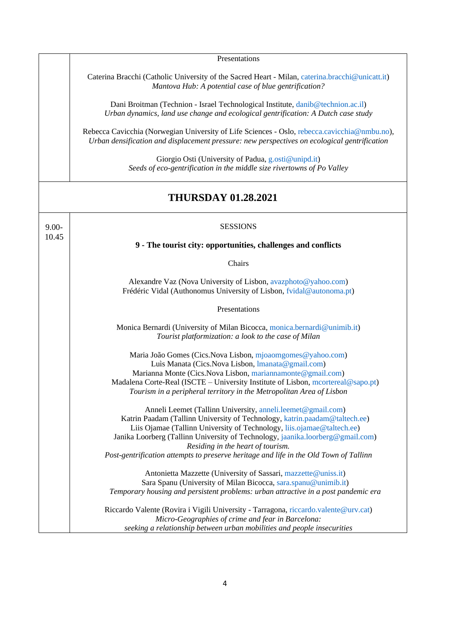|          | Presentations                                                                                                                                                                                                                                                                                                                                                                                                                       |
|----------|-------------------------------------------------------------------------------------------------------------------------------------------------------------------------------------------------------------------------------------------------------------------------------------------------------------------------------------------------------------------------------------------------------------------------------------|
|          | Caterina Bracchi (Catholic University of the Sacred Heart - Milan, caterina.bracchi@unicatt.it)<br>Mantova Hub: A potential case of blue gentrification?                                                                                                                                                                                                                                                                            |
|          | Dani Broitman (Technion - Israel Technological Institute, danib@technion.ac.il)<br>Urban dynamics, land use change and ecological gentrification: A Dutch case study                                                                                                                                                                                                                                                                |
|          | Rebecca Cavicchia (Norwegian University of Life Sciences - Oslo, rebecca.cavicchia@nmbu.no),<br>Urban densification and displacement pressure: new perspectives on ecological gentrification                                                                                                                                                                                                                                        |
|          | Giorgio Osti (University of Padua, g.osti@unipd.it)<br>Seeds of eco-gentrification in the middle size rivertowns of Po Valley                                                                                                                                                                                                                                                                                                       |
|          | <b>THURSDAY 01.28.2021</b>                                                                                                                                                                                                                                                                                                                                                                                                          |
| $9.00 -$ | <b>SESSIONS</b>                                                                                                                                                                                                                                                                                                                                                                                                                     |
| 10.45    | 9 - The tourist city: opportunities, challenges and conflicts                                                                                                                                                                                                                                                                                                                                                                       |
|          | Chairs                                                                                                                                                                                                                                                                                                                                                                                                                              |
|          | Alexandre Vaz (Nova University of Lisbon, avazphoto@yahoo.com)<br>Frédéric Vidal (Authonomus University of Lisbon, fvidal@autonoma.pt)                                                                                                                                                                                                                                                                                              |
|          | Presentations                                                                                                                                                                                                                                                                                                                                                                                                                       |
|          | Monica Bernardi (University of Milan Bicocca, monica.bernardi@unimib.it)<br>Tourist platformization: a look to the case of Milan                                                                                                                                                                                                                                                                                                    |
|          | Maria João Gomes (Cics.Nova Lisbon, mjoaomgomes@yahoo.com)<br>Luìs Manata (Cics.Nova Lisbon, Imanata@gmail.com)<br>Marianna Monte (Cics.Nova Lisbon, mariannamonte@gmail.com)<br>Madalena Corte-Real (ISCTE – University Institute of Lisbon, mcortereal@sapo.pt)<br>Tourism in a peripheral territory in the Metropolitan Area of Lisbon                                                                                           |
|          | Anneli Leemet (Tallinn University, anneli.leemet@gmail.com)<br>Katrin Paadam (Tallinn University of Technology, katrin.paadam@taltech.ee)<br>Liis Ojamae (Tallinn University of Technology, liis.ojamae@taltech.ee)<br>Janika Loorberg (Tallinn University of Technology, jaanika.loorberg@gmail.com)<br>Residing in the heart of tourism.<br>Post-gentrification attempts to preserve heritage and life in the Old Town of Tallinn |
|          | Antonietta Mazzette (University of Sassari, mazzette@uniss.it)<br>Sara Spanu (University of Milan Bicocca, sara.spanu@unimib.it)<br>Temporary housing and persistent problems: urban attractive in a post pandemic era                                                                                                                                                                                                              |
|          | Riccardo Valente (Rovira i Vigili University - Tarragona, riccardo.valente@urv.cat)<br>Micro-Geographies of crime and fear in Barcelona:<br>seeking a relationship between urban mobilities and people insecurities                                                                                                                                                                                                                 |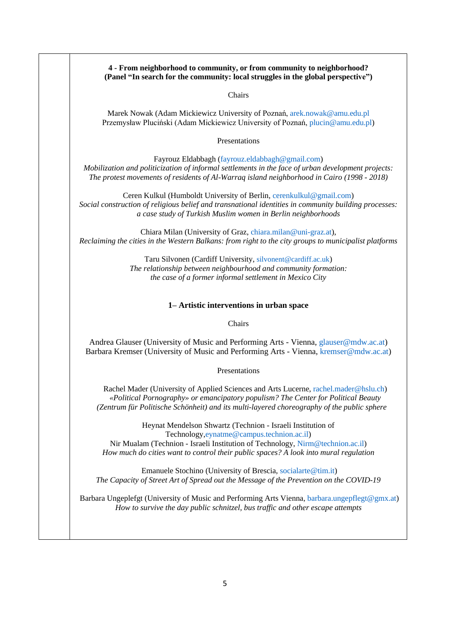| (Panel "In search for the community: local struggles in the global perspective")                                                                                                                                                                                                    |
|-------------------------------------------------------------------------------------------------------------------------------------------------------------------------------------------------------------------------------------------------------------------------------------|
| Chairs                                                                                                                                                                                                                                                                              |
| Marek Nowak (Adam Mickiewicz University of Poznań, arek.nowak@amu.edu.pl<br>Przemysław Pluciński (Adam Mickiewicz University of Poznań, plucin@amu.edu.pl)                                                                                                                          |
| Presentations                                                                                                                                                                                                                                                                       |
| Fayrouz Eldabbagh (fayrouz.eldabbagh@gmail.com)<br>Mobilization and politicization of informal settlements in the face of urban development projects:<br>The protest movements of residents of Al-Warraq island neighborhood in Cairo (1998 - 2018)                                 |
| Ceren Kulkul (Humboldt University of Berlin, cerenkulkul@gmail.com)<br>Social construction of religious belief and transnational identities in community building processes:<br>a case study of Turkish Muslim women in Berlin neighborhoods                                        |
| Chiara Milan (University of Graz, chiara.milan@uni-graz.at),<br>Reclaiming the cities in the Western Balkans: from right to the city groups to municipalist platforms                                                                                                               |
| Taru Silvonen (Cardiff University, silvonent@cardiff.ac.uk)<br>The relationship between neighbourhood and community formation:<br>the case of a former informal settlement in Mexico City                                                                                           |
| 1- Artistic interventions in urban space                                                                                                                                                                                                                                            |
| Chairs                                                                                                                                                                                                                                                                              |
| Andrea Glauser (University of Music and Performing Arts - Vienna, glauser@mdw.ac.at)<br>Barbara Kremser (University of Music and Performing Arts - Vienna, kremser@mdw.ac.at)                                                                                                       |
| Presentations                                                                                                                                                                                                                                                                       |
| Rachel Mader (University of Applied Sciences and Arts Lucerne, rachel.mader@hslu.ch)<br>«Political Pornography» or emancipatory populism? The Center for Political Beauty<br>(Zentrum für Politische Schönheit) and its multi-layered choreography of the public sphere             |
| Heynat Mendelson Shwartz (Technion - Israeli Institution of<br>Technology, eynatme@campus.technion.ac.il)<br>Nir Mualam (Technion - Israeli Institution of Technology, Nirm@technion.ac.il)<br>How much do cities want to control their public spaces? A look into mural regulation |
| Emanuele Stochino (University of Brescia, socialarte@tim.it)<br>The Capacity of Street Art of Spread out the Message of the Prevention on the COVID-19                                                                                                                              |
|                                                                                                                                                                                                                                                                                     |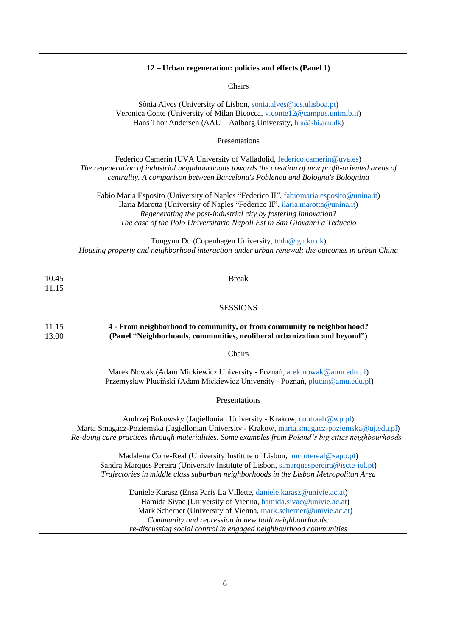|                | 12 – Urban regeneration: policies and effects (Panel 1)                                                                                                                                                                                                                                                                                  |
|----------------|------------------------------------------------------------------------------------------------------------------------------------------------------------------------------------------------------------------------------------------------------------------------------------------------------------------------------------------|
|                | Chairs                                                                                                                                                                                                                                                                                                                                   |
|                | Sònia Alves (University of Lisbon, sonia.alves@ics.ulisboa.pt)<br>Veronica Conte (University of Milan Bicocca, v.conte12@campus.unimib.it)<br>Hans Thor Andersen (AAU - Aalborg University, hta@sbi.aau.dk)                                                                                                                              |
|                | Presentations                                                                                                                                                                                                                                                                                                                            |
|                | Federico Camerin (UVA University of Valladolid, federico.camerin@uva.es)<br>The regeneration of industrial neighbourhoods towards the creation of new profit-oriented areas of<br>centrality. A comparison between Barcelona's Poblenou and Bologna's Bolognina                                                                          |
|                | Fabio Maria Esposito (University of Naples "Federico II", fabiomaria.esposito@unina.it)<br>Ilaria Marotta (University of Naples "Federico II", ilaria.marotta@unina.it)<br>Regenerating the post-industrial city by fostering innovation?<br>The case of the Polo Universitario Napoli Est in San Giovanni a Teduccio                    |
|                | Tongyun Du (Copenhagen University, todu@ign.ku.dk)<br>Housing property and neighborhood interaction under urban renewal: the outcomes in urban China                                                                                                                                                                                     |
| 10.45<br>11.15 | <b>Break</b>                                                                                                                                                                                                                                                                                                                             |
|                | <b>SESSIONS</b>                                                                                                                                                                                                                                                                                                                          |
| 11.15<br>13.00 | 4 - From neighborhood to community, or from community to neighborhood?<br>(Panel "Neighborhoods, communities, neoliberal urbanization and beyond")                                                                                                                                                                                       |
|                | Chairs                                                                                                                                                                                                                                                                                                                                   |
|                | Marek Nowak (Adam Mickiewicz University - Poznań, arek.nowak@amu.edu.pl)<br>Przemysław Pluciński (Adam Mickiewicz University - Poznań, plucin@amu.edu.pl)                                                                                                                                                                                |
|                | Presentations                                                                                                                                                                                                                                                                                                                            |
|                | Andrzej Bukowsky (Jagiellonian University - Krakow, contraab@wp.pl)<br>Marta Smagacz-Poziemska (Jagiellonian University - Krakow, marta.smagacz-poziemska@uj.edu.pl)<br>Re-doing care practices through materialities. Some examples from Poland's big cities neighbourhoods                                                             |
|                | Madalena Corte-Real (University Institute of Lisbon, mcortereal@sapo.pt)<br>Sandra Marques Pereira (University Institute of Lisbon, s.marquespereira@iscte-iul.pt)<br>Trajectories in middle class suburban neighborhoods in the Lisbon Metropolitan Area                                                                                |
|                | Daniele Karasz (Ensa Paris La Villette, daniele karasz@univie.ac.at)<br>Hamida Sivac (University of Vienna, hamida.sivac@univie.ac.at)<br>Mark Scherner (University of Vienna, mark.scherner@univie.ac.at)<br>Community and repression in new built neighbourhoods:<br>re-discussing social control in engaged neighbourhood communities |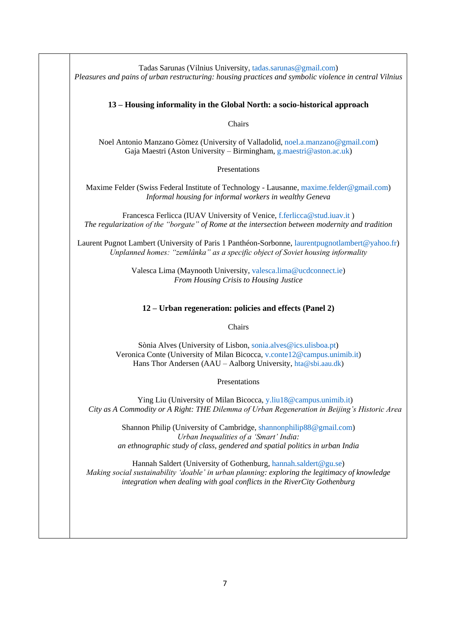| Tadas Sarunas (Vilnius University, tadas.sarunas@gmail.com)<br>Pleasures and pains of urban restructuring: housing practices and symbolic violence in central Vilnius                                                                         |
|-----------------------------------------------------------------------------------------------------------------------------------------------------------------------------------------------------------------------------------------------|
| 13 – Housing informality in the Global North: a socio-historical approach                                                                                                                                                                     |
| Chairs                                                                                                                                                                                                                                        |
| Noel Antonio Manzano Gòmez (University of Valladolid, noel.a.manzano@gmail.com)<br>Gaja Maestri (Aston University – Birmingham, g.maestri@aston.ac.uk)                                                                                        |
| Presentations                                                                                                                                                                                                                                 |
| Maxime Felder (Swiss Federal Institute of Technology - Lausanne, maxime.felder@gmail.com)<br>Informal housing for informal workers in wealthy Geneva                                                                                          |
| Francesca Ferlicca (IUAV University of Venice, f.ferlicca@stud.iuav.it)<br>The regularization of the "borgate" of Rome at the intersection between modernity and tradition                                                                    |
| Laurent Pugnot Lambert (University of Paris 1 Panthéon-Sorbonne, laurentpugnotlambert@yahoo.fr)<br>Unplanned homes: "zemlânka" as a specific object of Soviet housing informality                                                             |
| Valesca Lima (Maynooth University, valesca.lima@ucdconnect.ie)<br>From Housing Crisis to Housing Justice                                                                                                                                      |
| 12 – Urban regeneration: policies and effects (Panel 2)                                                                                                                                                                                       |
| Chairs                                                                                                                                                                                                                                        |
| Sònia Alves (University of Lisbon, sonia.alves@ics.ulisboa.pt)<br>Veronica Conte (University of Milan Bicocca, v.conte12@campus.unimib.it)<br>Hans Thor Andersen (AAU – Aalborg University, hta@sbi.aau.dk)                                   |
| Presentations                                                                                                                                                                                                                                 |
| Ying Liu (University of Milan Bicocca, y.liu18@campus.unimib.it)<br>City as A Commodity or A Right: THE Dilemma of Urban Regeneration in Beijing's Historic Area                                                                              |
| Shannon Philip (University of Cambridge, shannonphilip88@gmail.com)<br>Urban Inequalities of a 'Smart' India:<br>an ethnographic study of class, gendered and spatial politics in urban India                                                 |
| Hannah Saldert (University of Gothenburg, hannah.saldert@gu.se)<br>Making social sustainability 'doable' in urban planning: exploring the legitimacy of knowledge<br>integration when dealing with goal conflicts in the RiverCity Gothenburg |
|                                                                                                                                                                                                                                               |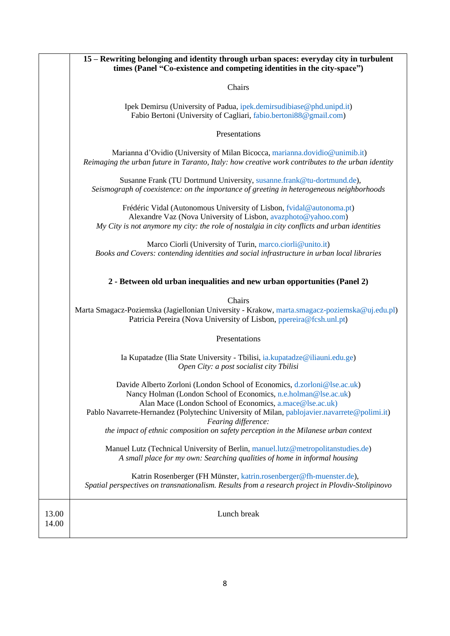|                | 15 – Rewriting belonging and identity through urban spaces: everyday city in turbulent<br>times (Panel "Co-existence and competing identities in the city-space")                                                                                                                                                                                                                                                     |
|----------------|-----------------------------------------------------------------------------------------------------------------------------------------------------------------------------------------------------------------------------------------------------------------------------------------------------------------------------------------------------------------------------------------------------------------------|
|                | Chairs                                                                                                                                                                                                                                                                                                                                                                                                                |
|                | Ipek Demirsu (University of Padua, ipek.demirsudibiase@phd.unipd.it)<br>Fabio Bertoni (University of Cagliari, fabio.bertoni88@gmail.com)                                                                                                                                                                                                                                                                             |
|                | Presentations                                                                                                                                                                                                                                                                                                                                                                                                         |
|                | Marianna d'Ovidio (University of Milan Bicocca, marianna.dovidio@unimib.it)<br>Reimaging the urban future in Taranto, Italy: how creative work contributes to the urban identity                                                                                                                                                                                                                                      |
|                | Susanne Frank (TU Dortmund University, susanne.frank@tu-dortmund.de),<br>Seismograph of coexistence: on the importance of greeting in heterogeneous neighborhoods                                                                                                                                                                                                                                                     |
|                | Frédéric Vidal (Autonomous University of Lisbon, fvidal@autonoma.pt)<br>Alexandre Vaz (Nova University of Lisbon, avazphoto@yahoo.com)<br>My City is not anymore my city: the role of nostalgia in city conflicts and urban identities                                                                                                                                                                                |
|                | Marco Ciorli (University of Turin, marco.ciorli@unito.it)<br>Books and Covers: contending identities and social infrastructure in urban local libraries                                                                                                                                                                                                                                                               |
|                | 2 - Between old urban inequalities and new urban opportunities (Panel 2)                                                                                                                                                                                                                                                                                                                                              |
|                | Chairs<br>Marta Smagacz-Poziemska (Jagiellonian University - Krakow, marta.smagacz-poziemska@uj.edu.pl)<br>Patricia Pereira (Nova University of Lisbon, ppereira@fcsh.unl.pt)                                                                                                                                                                                                                                         |
|                | Presentations                                                                                                                                                                                                                                                                                                                                                                                                         |
|                | Ia Kupatadze (Ilia State University - Tbilisi, ia.kupatadze@iliauni.edu.ge)<br>Open City: a post socialist city Tbilisi                                                                                                                                                                                                                                                                                               |
|                | Davide Alberto Zorloni (London School of Economics, d.zorloni@lse.ac.uk)<br>Nancy Holman (London School of Economics, n.e.holman@lse.ac.uk)<br>Alan Mace (London School of Economics, a.mace@lse.ac.uk)<br>Pablo Navarrete-Hernandez (Polytechinc University of Milan, pablojavier.navarrete@polimi.it)<br>Fearing difference:<br>the impact of ethnic composition on safety perception in the Milanese urban context |
|                | Manuel Lutz (Technical University of Berlin, manuel.lutz@metropolitanstudies.de)<br>A small place for my own: Searching qualities of home in informal housing                                                                                                                                                                                                                                                         |
|                | Katrin Rosenberger (FH Münster, katrin.rosenberger@fh-muenster.de),<br>Spatial perspectives on transnationalism. Results from a research project in Plovdiv-Stolipinovo                                                                                                                                                                                                                                               |
| 13.00<br>14.00 | Lunch break                                                                                                                                                                                                                                                                                                                                                                                                           |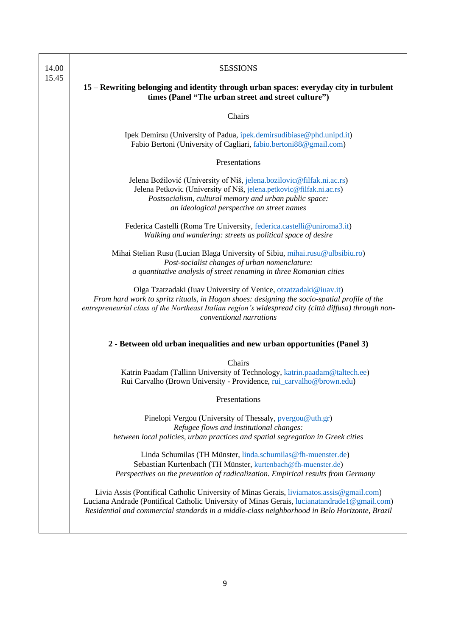| 14.00<br>15.45 | <b>SESSIONS</b>                                                                                                                                                                                                                                                                                     |
|----------------|-----------------------------------------------------------------------------------------------------------------------------------------------------------------------------------------------------------------------------------------------------------------------------------------------------|
|                | 15 – Rewriting belonging and identity through urban spaces: everyday city in turbulent<br>times (Panel "The urban street and street culture")                                                                                                                                                       |
|                | Chairs                                                                                                                                                                                                                                                                                              |
|                | Ipek Demirsu (University of Padua, ipek.demirsudibiase@phd.unipd.it)<br>Fabio Bertoni (University of Cagliari, fabio.bertoni88@gmail.com)                                                                                                                                                           |
|                | Presentations                                                                                                                                                                                                                                                                                       |
|                | Jelena Božilović (University of Niš, jelena.bozilovic@filfak.ni.ac.rs)<br>Jelena Petkovic (University of Niš, jelena.petkovic@filfak.ni.ac.rs)<br>Postsocialism, cultural memory and urban public space:<br>an ideological perspective on street names                                              |
|                | Federica Castelli (Roma Tre University, federica.castelli@uniroma3.it)<br>Walking and wandering: streets as political space of desire                                                                                                                                                               |
|                | Mihai Stelian Rusu (Lucian Blaga University of Sibiu, mihai.rusu@ulbsibiu.ro)<br>Post-socialist changes of urban nomenclature:<br>a quantitative analysis of street renaming in three Romanian cities                                                                                               |
|                | Olga Tzatzadaki (Iuav University of Venice, otzatzadaki@iuav.it)<br>From hard work to spritz rituals, in Hogan shoes: designing the socio-spatial profile of the<br>entrepreneurial class of the Northeast Italian region's widespread city (città diffusa) through non-<br>conventional narrations |
|                | 2 - Between old urban inequalities and new urban opportunities (Panel 3)                                                                                                                                                                                                                            |
|                | Chairs                                                                                                                                                                                                                                                                                              |
|                | Katrin Paadam (Tallinn University of Technology, katrin.paadam@taltech.ee)<br>Rui Carvalho (Brown University - Providence, rui_carvalho@brown.edu)                                                                                                                                                  |
|                | Presentations                                                                                                                                                                                                                                                                                       |
|                | Pinelopi Vergou (University of Thessaly, pvergou@uth.gr)<br>Refugee flows and institutional changes:<br>between local policies, urban practices and spatial segregation in Greek cities                                                                                                             |
|                | Linda Schumilas (TH Münster, linda.schumilas@fh-muenster.de)<br>Sebastian Kurtenbach (TH Münster, kurtenbach@fh-muenster.de)<br>Perspectives on the prevention of radicalization. Empirical results from Germany                                                                                    |
|                | Livia Assis (Pontifical Catholic University of Minas Gerais, liviamatos.assis@gmail.com)<br>Luciana Andrade (Pontifical Catholic University of Minas Gerais, lucianatandrade 1@gmail.com)<br>Residential and commercial standards in a middle-class neighborhood in Belo Horizonte, Brazil          |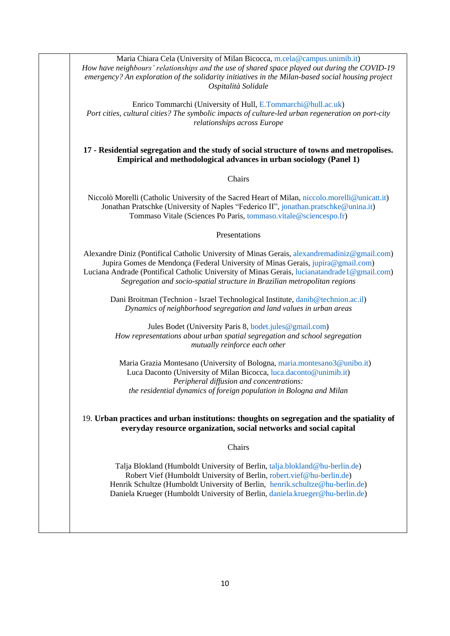Maria Chiara Cela (University of Milan Bicocca, [m.cela@campus.unimib.it\)](mailto:m.cela@campus.unimib.it) *How have neighbours' relationships and the use of shared space played out during the COVID-19 emergency? An exploration of the solidarity initiatives in the Milan-based social housing project Ospitalità Solidale*

Enrico Tommarchi (University of Hull, [E.Tommarchi@hull.ac.uk\)](mailto:E.Tommarchi@hull.ac.uk) *Port cities, cultural cities? The symbolic impacts of culture-led urban regeneration on port-city relationships across Europe*

#### **17 - Residential segregation and the study of social structure of towns and metropolises. Empirical and methodological advances in urban sociology (Panel 1)**

#### **Chairs**

Niccolò Morelli (Catholic University of the Sacred Heart of Milan[, niccolo.morelli@unicatt.it\)](mailto:niccolo.morelli@unicatt.it) Jonathan Pratschke (University of Naples "Federico II", [jonathan.pratschke@unina.it\)](mailto:jonathan.pratschke@unina.it) Tommaso Vitale (Sciences Po Paris, [tommaso.vitale@sciencespo.fr\)](mailto:tommaso.vitale@sciencespo.fr)

#### Presentations

Alexandre Diniz (Pontifical Catholic University of Minas Gerais, [alexandremadiniz@gmail.com\)](mailto:alexandremadiniz@gmail.com) Jupira Gomes de Mendonça (Federal University of Minas Gerais, [jupira@gmail.com\)](mailto:jupira@gmail.com) Luciana Andrade (Pontifical Catholic University of Minas Gerais, [lucianatandrade1@gmail.com\)](mailto:lucianatandrade1@gmail.com) *Segregation and socio-spatial structure in Brazilian metropolitan regions*

Dani Broitman (Technion - Israel Technological Institute, [danib@technion.ac.il\)](mailto:danib@technion.ac.il) *Dynamics of neighborhood segregation and land values in urban areas*

Jules Bodet (University Paris 8, [bodet.jules@gmail.com\)](mailto:bodet.jules@gmail.com) *How representations about urban spatial segregation and school segregation mutually reinforce each other*

Maria Grazia Montesano (University of Bologna, [maria.montesano3@unibo.it\)](mailto:maria.montesano3@unibo.it) Luca Daconto (University of Milan Bicocca, [luca.daconto@unimib.it\)](mailto:luca.daconto@unimib.it) *Peripheral diffusion and concentrations: the residential dynamics of foreign population in Bologna and Milan*

19. **Urban practices and urban institutions: thoughts on segregation and the spatiality of everyday resource organization, social networks and social capital**

#### Chairs

Talja Blokland (Humboldt University of Berlin, [talja.blokland@hu-berlin.de\)](mailto:talja.blokland@hu-berlin.de) Robert Vief (Humboldt University of Berlin, [robert.vief@hu-berlin.de\)](mailto:robert.vief@hu-berlin.de) Henrik Schultze (Humboldt University of Berlin, [henrik.schultze@hu-berlin.de\)](mailto:henrik.schultze@hu-berlin.de) Daniela Krueger (Humboldt University of Berlin, [daniela.krueger@hu-berlin.de\)](mailto:daniela.krueger@hu-berlin.de)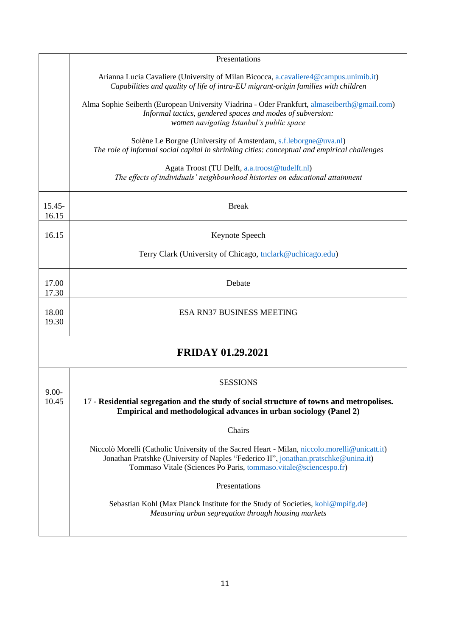|                   | Presentations                                                                                                                                                                                                                                            |
|-------------------|----------------------------------------------------------------------------------------------------------------------------------------------------------------------------------------------------------------------------------------------------------|
|                   | Arianna Lucia Cavaliere (University of Milan Bicocca, a.cavaliere4@campus.unimib.it)<br>Capabilities and quality of life of intra-EU migrant-origin families with children                                                                               |
|                   | Alma Sophie Seiberth (European University Viadrina - Oder Frankfurt, almaseiberth@gmail.com)<br>Informal tactics, gendered spaces and modes of subversion:<br>women navigating Istanbul's public space                                                   |
|                   | Solène Le Borgne (University of Amsterdam, s.f.leborgne@uva.nl)<br>The role of informal social capital in shrinking cities: conceptual and empirical challenges                                                                                          |
|                   | Agata Troost (TU Delft, a.a.troost@tudelft.nl)<br>The effects of individuals' neighbourhood histories on educational attainment                                                                                                                          |
| 15.45-<br>16.15   | <b>Break</b>                                                                                                                                                                                                                                             |
| 16.15             | Keynote Speech                                                                                                                                                                                                                                           |
|                   | Terry Clark (University of Chicago, tnclark@uchicago.edu)                                                                                                                                                                                                |
| 17.00<br>17.30    | Debate                                                                                                                                                                                                                                                   |
| 18.00<br>19.30    | <b>ESA RN37 BUSINESS MEETING</b>                                                                                                                                                                                                                         |
|                   | <b>FRIDAY 01.29.2021</b>                                                                                                                                                                                                                                 |
|                   | <b>SESSIONS</b>                                                                                                                                                                                                                                          |
| $9.00 -$<br>10.45 | 17 - Residential segregation and the study of social structure of towns and metropolises.<br>Empirical and methodological advances in urban sociology (Panel 2)                                                                                          |
|                   | Chairs                                                                                                                                                                                                                                                   |
|                   | Niccolò Morelli (Catholic University of the Sacred Heart - Milan, niccolo.morelli@unicatt.it)<br>Jonathan Pratshke (University of Naples "Federico II", jonathan.pratschke@unina.it)<br>Tommaso Vitale (Sciences Po Paris, tommaso.vitale@sciencespo.fr) |
|                   | Presentations                                                                                                                                                                                                                                            |
|                   | Sebastian Kohl (Max Planck Institute for the Study of Societies, kohl@mpifg.de)<br>Measuring urban segregation through housing markets                                                                                                                   |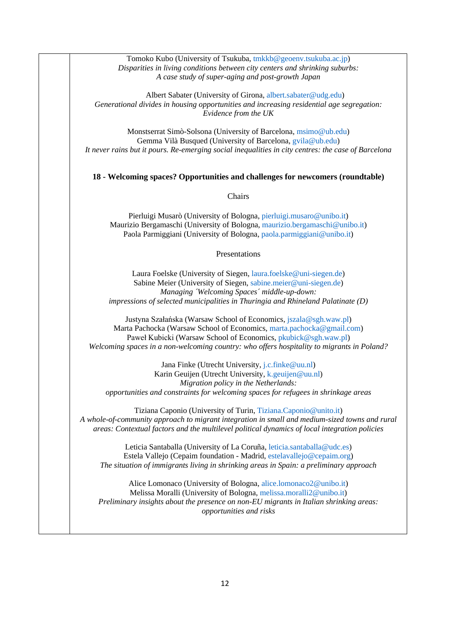Tomoko Kubo (University of Tsukuba, [tmkkb@geoenv.tsukuba.ac.jp\)](mailto:tmkkb@geoenv.tsukuba.ac.jp) *Disparities in living conditions between city centers and shrinking suburbs: A case study of super-aging and post-growth Japan*

Albert Sabater (University of Girona, [albert.sabater@udg.edu\)](mailto:albert.sabater@udg.edu) *Generational divides in housing opportunities and increasing residential age segregation: Evidence from the UK*

Monstserrat Simò-Solsona (University of Barcelona, [msimo@ub.edu\)](mailto:msimo@ub.edu) Gemma Vilà Busqued (University of Barcelona, [gvila@ub.edu\)](mailto:gvila@ub.edu) *It never rains but it pours. Re-emerging social inequalities in city centres: the case of Barcelona*

**18 - Welcoming spaces? Opportunities and challenges for newcomers (roundtable)**

Chairs

Pierluigi Musarò (University of Bologna, [pierluigi.musaro@unibo.it\)](mailto:pierluigi.musaro@unibo.it) Maurizio Bergamaschi (University of Bologna, [maurizio.bergamaschi@unibo.it\)](mailto:maurizio.bergamaschi@unibo.it) Paola Parmiggiani (University of Bologna, [paola.parmiggiani@unibo.it\)](mailto:paola.parmiggiani@unibo.it)

#### Presentations

Laura Foelske (University of Siegen[, laura.foelske@uni-siegen.de\)](mailto:laura.foelske@uni-siegen.de) Sabine Meier (University of Siegen, [sabine.meier@uni-siegen.de\)](mailto:sabine.meier@uni-siegen.de) *Managing ´Welcoming Spaces´ middle-up-down: impressions of selected municipalities in Thuringia and Rhineland Palatinate (D)*

Justyna Szałańska (Warsaw School of Economics, [jszala@sgh.waw.pl\)](mailto:jszala@sgh.waw.pl) Marta Pachocka (Warsaw School of Economics[, marta.pachocka@gmail.com\)](mailto:marta.pachocka@gmail.com) Paweł Kubicki (Warsaw School of Economics, [pkubick@sgh.waw.pl\)](mailto:pkubick@sgh.waw.pl) *Welcoming spaces in a non-welcoming country: who offers hospitality to migrants in Poland?*

Jana Finke (Utrecht University, [j.c.finke@uu.nl\)](mailto:j.c.finke@uu.nl) Karin Geuijen (Utrecht University, [k.geuijen@uu.nl\)](mailto:k.geuijen@uu.nl) *Migration policy in the Netherlands: opportunities and constraints for welcoming spaces for refugees in shrinkage areas*

Tiziana Caponio (University of Turin, [Tiziana.Caponio@unito.it\)](mailto:Tiziana.Caponio@unito.it) *A whole-of-community approach to migrant integration in small and medium-sized towns and rural areas: Contextual factors and the multilevel political dynamics of local integration policies*

Leticia Santaballa (University of La Coruña, [leticia.santaballa@udc.es\)](mailto:leticia.santaballa@udc.es) Estela Vallejo (Cepaim foundation - Madrid[, estelavallejo@cepaim.org\)](mailto:estelavallejo@cepaim.org) *The situation of immigrants living in shrinking areas in Spain: a preliminary approach*

Alice Lomonaco (University of Bologna, [alice.lomonaco2@unibo.it\)](mailto:alice.lomonaco2@unibo.it) Melissa Moralli (University of Bologna, [melissa.moralli2@unibo.it\)](mailto:melissa.moralli2@unibo.it) *Preliminary insights about the presence on non-EU migrants in Italian shrinking areas: opportunities and risks*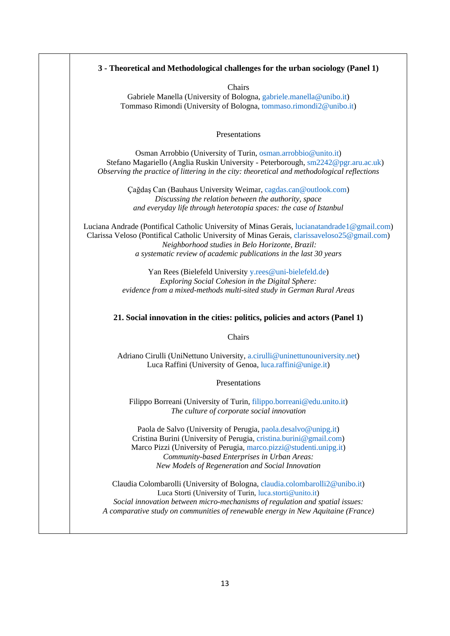| 3 - Theoretical and Methodological challenges for the urban sociology (Panel 1)                                                                                                                                                                                                                               |
|---------------------------------------------------------------------------------------------------------------------------------------------------------------------------------------------------------------------------------------------------------------------------------------------------------------|
| Chairs<br>Gabriele Manella (University of Bologna, gabriele.manella@unibo.it)<br>Tommaso Rimondi (University of Bologna, tommaso.rimondi2@unibo.it)                                                                                                                                                           |
| Presentations                                                                                                                                                                                                                                                                                                 |
| Osman Arrobbio (University of Turin, osman.arrobbio@unito.it)<br>Stefano Magariello (Anglia Ruskin University - Peterborough, sm2242@pgr.aru.ac.uk)<br>Observing the practice of littering in the city: theoretical and methodological reflections                                                            |
| Çağdaş Can (Bauhaus University Weimar, cagdas.can@outlook.com)<br>Discussing the relation between the authority, space<br>and everyday life through heterotopia spaces: the case of Istanbul                                                                                                                  |
| Luciana Andrade (Pontifical Catholic University of Minas Gerais, lucianatandrade 1@gmail.com)<br>Clarissa Veloso (Pontifical Catholic University of Minas Gerais, clarissaveloso25@gmail.com)<br>Neighborhood studies in Belo Horizonte, Brazil:                                                              |
| a systematic review of academic publications in the last 30 years                                                                                                                                                                                                                                             |
| Yan Rees (Bielefeld University y.rees@uni-bielefeld.de)                                                                                                                                                                                                                                                       |
| Exploring Social Cohesion in the Digital Sphere:<br>evidence from a mixed-methods multi-sited study in German Rural Areas                                                                                                                                                                                     |
| 21. Social innovation in the cities: politics, policies and actors (Panel 1)                                                                                                                                                                                                                                  |
| Chairs                                                                                                                                                                                                                                                                                                        |
| Adriano Cirulli (UniNettuno University, a.cirulli@uninettunouniversity.net)<br>Luca Raffini (University of Genoa, luca.raffini@unige.it)                                                                                                                                                                      |
| Presentations                                                                                                                                                                                                                                                                                                 |
| Filippo Borreani (University of Turin, filippo.borreani@edu.unito.it)<br>The culture of corporate social innovation                                                                                                                                                                                           |
| Paola de Salvo (University of Perugia, paola.desalvo@unipg.it)<br>Cristina Burini (University of Perugia, cristina.burini@gmail.com)<br>Marco Pizzi (University of Perugia, marco.pizzi@studenti.unipg.it)<br>Community-based Enterprises in Urban Areas:<br>New Models of Regeneration and Social Innovation |
| Claudia Colombarolli (University of Bologna, claudia.colombarolli2@unibo.it)<br>Luca Storti (University of Turin, luca.storti@unito.it)<br>Social innovation between micro-mechanisms of regulation and spatial issues:<br>A comparative study on communities of renewable energy in New Aquitaine (France)   |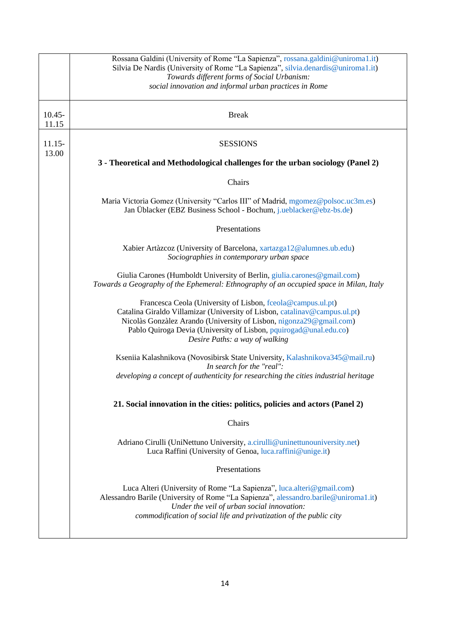| Rossana Galdini (University of Rome "La Sapienza", rossana.galdini@uniroma1.it)<br>Silvia De Nardis (University of Rome "La Sapienza", silvia.denardis@uniroma1.it)<br>Towards different forms of Social Urbanism:<br>social innovation and informal urban practices in Rome                                            |
|-------------------------------------------------------------------------------------------------------------------------------------------------------------------------------------------------------------------------------------------------------------------------------------------------------------------------|
| <b>Break</b>                                                                                                                                                                                                                                                                                                            |
| <b>SESSIONS</b>                                                                                                                                                                                                                                                                                                         |
| 3 - Theoretical and Methodological challenges for the urban sociology (Panel 2)                                                                                                                                                                                                                                         |
| Chairs                                                                                                                                                                                                                                                                                                                  |
| Maria Victoria Gomez (University "Carlos III" of Madrid, mgomez@polsoc.uc3m.es)<br>Jan Üblacker (EBZ Business School - Bochum, j.ueblacker@ebz-bs.de)                                                                                                                                                                   |
| Presentations                                                                                                                                                                                                                                                                                                           |
| Xabier Artàzcoz (University of Barcelona, xartazga12@alumnes.ub.edu)<br>Sociographies in contemporary urban space                                                                                                                                                                                                       |
| Giulia Carones (Humboldt University of Berlin, giulia.carones@gmail.com)<br>Towards a Geography of the Ephemeral: Ethnography of an occupied space in Milan, Italy                                                                                                                                                      |
| Francesca Ceola (University of Lisbon, fceola@campus.ul.pt)<br>Catalina Giraldo Villamizar (University of Lisbon, catalinav@campus.ul.pt)<br>Nicolàs Gonzàlez Arando (University of Lisbon, nigonza29@gmail.com)<br>Pablo Quiroga Devia (University of Lisbon, pquirogad@unal.edu.co)<br>Desire Paths: a way of walking |
| Kseniia Kalashnikova (Novosibirsk State University, Kalashnikova345@mail.ru)<br>In search for the "real":<br>developing a concept of authenticity for researching the cities industrial heritage                                                                                                                        |
| 21. Social innovation in the cities: politics, policies and actors (Panel 2)                                                                                                                                                                                                                                            |
| Chairs                                                                                                                                                                                                                                                                                                                  |
| Adriano Cirulli (UniNettuno University, a.cirulli@uninettunouniversity.net)<br>Luca Raffini (University of Genoa, luca.raffini@unige.it)                                                                                                                                                                                |
| Presentations                                                                                                                                                                                                                                                                                                           |
| Luca Alteri (University of Rome "La Sapienza", luca alteri@gmail.com)<br>Alessandro Barile (University of Rome "La Sapienza", alessandro.barile@uniroma1.it)<br>Under the veil of urban social innovation:<br>commodification of social life and privatization of the public city                                       |
|                                                                                                                                                                                                                                                                                                                         |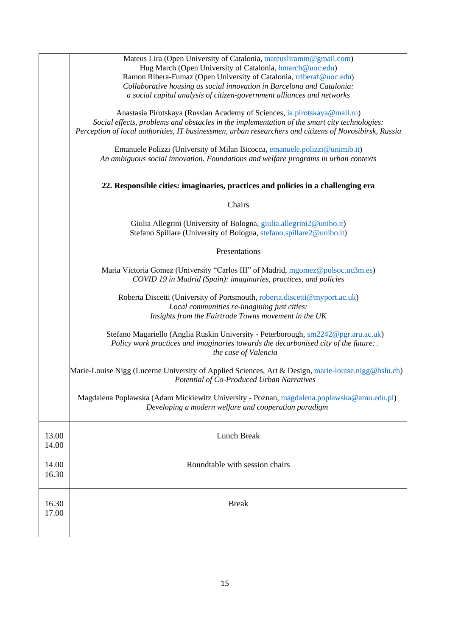| Social effects, problems and obstacles in the implementation of the smart city technologies:<br>Perception of local authorities, IT businessmen, urban researchers and citizens of Novosibirsk, Russia |
|--------------------------------------------------------------------------------------------------------------------------------------------------------------------------------------------------------|
|                                                                                                                                                                                                        |
|                                                                                                                                                                                                        |
|                                                                                                                                                                                                        |
|                                                                                                                                                                                                        |
|                                                                                                                                                                                                        |
|                                                                                                                                                                                                        |
|                                                                                                                                                                                                        |
|                                                                                                                                                                                                        |
|                                                                                                                                                                                                        |
| Marie-Louise Nigg (Lucerne University of Applied Sciences, Art & Design, marie-louise.nigg@hslu.ch)                                                                                                    |
| Magdalena Poplawska (Adam Mickiewitz University - Poznan, magdalena.poplawska@amu.edu.pl)                                                                                                              |
|                                                                                                                                                                                                        |
|                                                                                                                                                                                                        |
|                                                                                                                                                                                                        |
| Stefano Magariello (Anglia Ruskin University - Peterborough, sm2242@pgr.aru.ac.uk)                                                                                                                     |